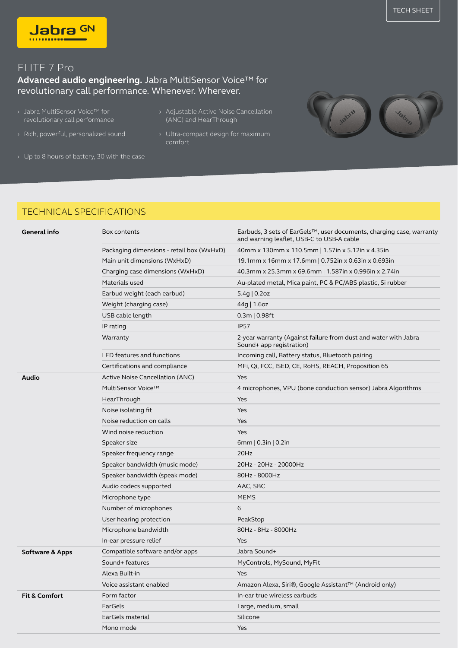

## ELITE 7 Pro

## **Advanced audio engineering.** Jabra MultiSensor Voice™ for revolutionary call performance. Whenever. Wherever.

- Jabra MultiSensor Voice™ for revolutionary call performance › Adjustable Active Noise Cancellation ›
- 
- (ANC) and HearThrough
- › Rich, powerful, personalized sound Ultra-compact design for maximum comfort
- › Up to 8 hours of battery, 30 with the case

## TECHNICAL SPECIFICATIONS

| General info               | Box contents                              | Earbuds, 3 sets of EarGels™, user documents, charging case, warranty<br>and warning leaflet, USB-C to USB-A cable |
|----------------------------|-------------------------------------------|-------------------------------------------------------------------------------------------------------------------|
|                            | Packaging dimensions - retail box (WxHxD) | 40mm x 130mm x 110.5mm   1.57in x 5.12in x 4.35in                                                                 |
|                            | Main unit dimensions (WxHxD)              | 19.1mm x 16mm x 17.6mm   0.752in x 0.63in x 0.693in                                                               |
|                            | Charging case dimensions (WxHxD)          | 40.3mm x 25.3mm x 69.6mm   1.587in x 0.996in x 2.74in                                                             |
|                            | Materials used                            | Au-plated metal, Mica paint, PC & PC/ABS plastic, Si rubber                                                       |
|                            | Earbud weight (each earbud)               | $5.4g$   0.2oz                                                                                                    |
|                            | Weight (charging case)                    | 44g   1.6oz                                                                                                       |
|                            | USB cable length                          | $0.3m$   0.98ft                                                                                                   |
|                            | IP rating                                 | <b>IP57</b>                                                                                                       |
|                            | Warranty                                  | 2-year warranty (Against failure from dust and water with Jabra<br>Sound+ app registration)                       |
|                            | LED features and functions                | Incoming call, Battery status, Bluetooth pairing                                                                  |
|                            | Certifications and compliance             | MFi, Qi, FCC, ISED, CE, RoHS, REACH, Proposition 65                                                               |
| Audio                      | Active Noise Cancellation (ANC)           | Yes                                                                                                               |
|                            | MultiSensor Voice™                        | 4 microphones, VPU (bone conduction sensor) Jabra Algorithms                                                      |
|                            | HearThrough                               | Yes                                                                                                               |
|                            | Noise isolating fit                       | Yes                                                                                                               |
|                            | Noise reduction on calls                  | Yes                                                                                                               |
|                            | Wind noise reduction                      | Yes                                                                                                               |
|                            | Speaker size                              | 6mm   $0.3$ in   $0.2$ in                                                                                         |
|                            | Speaker frequency range                   | 20Hz                                                                                                              |
|                            | Speaker bandwidth (music mode)            | 20Hz - 20Hz - 20000Hz                                                                                             |
|                            | Speaker bandwidth (speak mode)            | 80Hz - 8000Hz                                                                                                     |
|                            | Audio codecs supported                    | AAC, SBC                                                                                                          |
|                            | Microphone type                           | <b>MEMS</b>                                                                                                       |
|                            | Number of microphones                     | 6                                                                                                                 |
|                            | User hearing protection                   | PeakStop                                                                                                          |
|                            | Microphone bandwidth                      | 80Hz - 8Hz - 8000Hz                                                                                               |
|                            | In-ear pressure relief                    | Yes                                                                                                               |
| <b>Software &amp; Apps</b> | Compatible software and/or apps           | Jabra Sound+                                                                                                      |
|                            | Sound+ features                           | MyControls, MySound, MyFit                                                                                        |
|                            | Alexa Built-in                            | Yes                                                                                                               |
|                            | Voice assistant enabled                   | Amazon Alexa, Siri®, Google Assistant™ (Android only)                                                             |
| <b>Fit &amp; Comfort</b>   | Form factor                               | In-ear true wireless earbuds                                                                                      |
|                            | EarGels                                   | Large, medium, small                                                                                              |
|                            | EarGels material                          | Silicone                                                                                                          |
|                            | Mono mode                                 | Yes                                                                                                               |